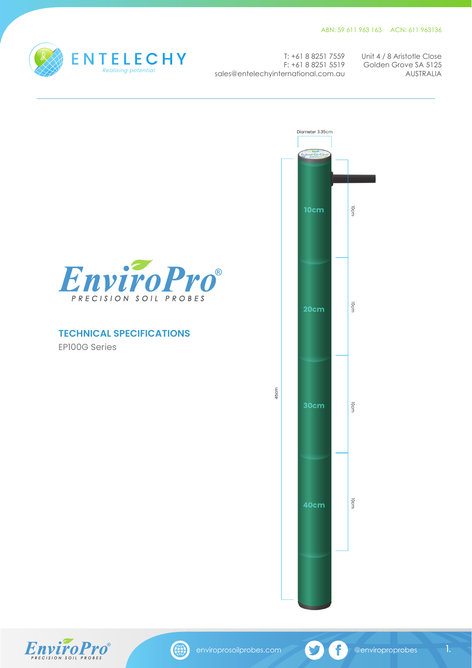10cm

**JOCIM** 

IOcm

10cm



sales@entelechyinternational.com.au

T: +61 8 8251 7559 Unit 4 / 8 Aristotle Close Golden Grove SA 5125 F: +61 8 8251 5519 AUSTRALIA





1.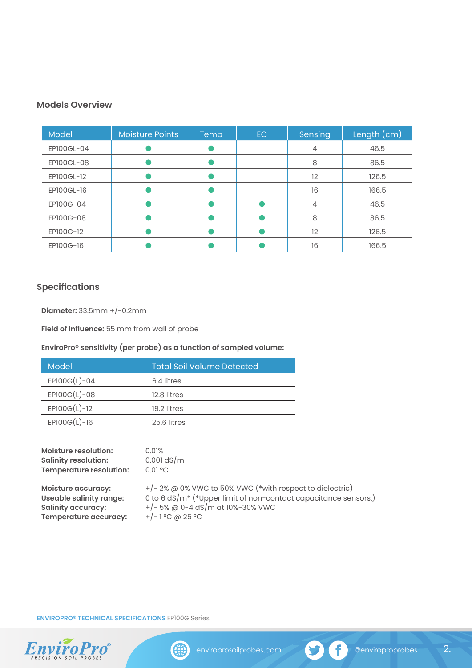## **Models Overview**

| Model      | <b>Moisture Points</b> | Temp | EC. | Sensing | Length (cm) |
|------------|------------------------|------|-----|---------|-------------|
| EP100GL-04 |                        |      |     | 4       | 46.5        |
| EP100GL-08 |                        |      |     | 8       | 86.5        |
| EP100GL-12 |                        |      |     | 12      | 126.5       |
| EP100GL-16 |                        |      |     | 16      | 166.5       |
| EP100G-04  |                        |      |     | 4       | 46.5        |
| EP100G-08  |                        |      |     | 8       | 86.5        |
| EP100G-12  |                        |      |     | 12      | 126.5       |
| EP100G-16  |                        |      |     | 16      | 166.5       |

# **Specifications**

**Diameter:** 33.5mm +/-0.2mm

**Field of Influence:** 55 mm from wall of probe

## **EnviroPro® sensitivity (per probe) as a function of sampled volume:**

| Model          | Total Soil Volume Detected |
|----------------|----------------------------|
| $EPI00G(L)-04$ | 6.4 litres                 |
| $EPI00G(L)-08$ | 12.8 litres                |
| $EPI00G(L)-12$ | 19.2 litres                |
| $EPI00G(L)-16$ | 25.6 litres                |
|                |                            |

| <b>Moisture resolution:</b><br><b>Salinity resolution:</b><br>Temperature resolution: | 0.01%<br>$0.001$ dS/m<br>$0.01$ °C                                          |
|---------------------------------------------------------------------------------------|-----------------------------------------------------------------------------|
| <b>Moisture accuracy:</b>                                                             | $+/- 2\%$ @ 0% VWC to 50% VWC (*with respect to dielectric)                 |
| <b>Useable salinity range:</b>                                                        | 0 to 6 dS/m <sup>*</sup> (*Upper limit of non-contact capacitance sensors.) |
| <b>Salinity accuracy:</b>                                                             | $+/-$ 5% @ 0-4 dS/m at 10%-30% VWC                                          |
| Temperature accuracy:                                                                 | $+/-1$ °C @ 25 °C                                                           |

**ENVIROPRO® TECHNICAL SPECIFICATIONS** EP100G Series



(#)